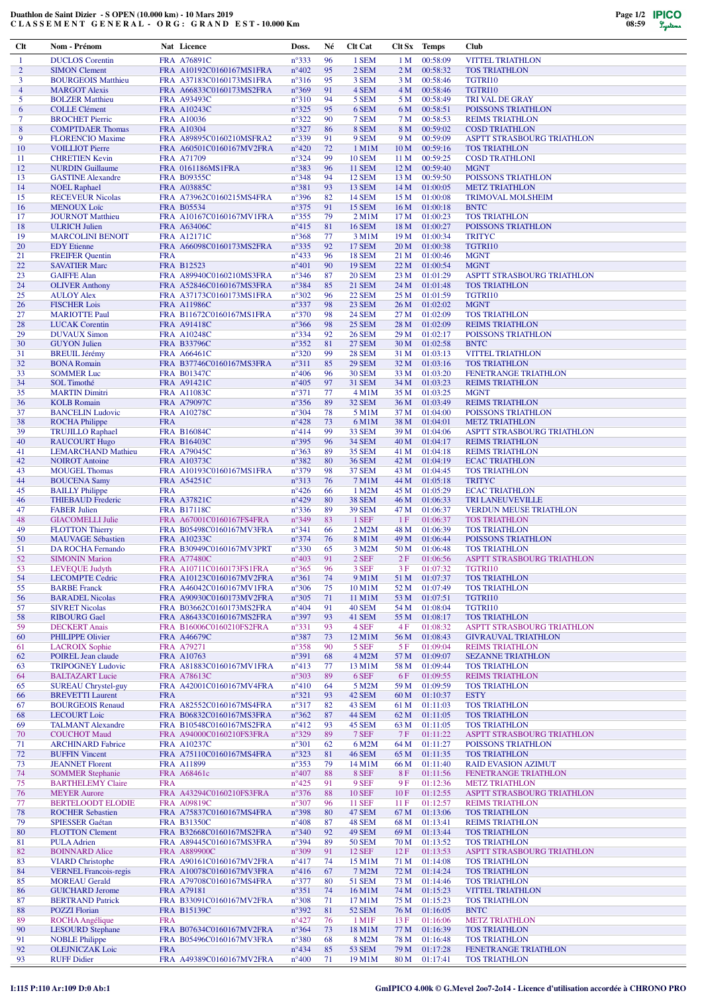## **Duathlon de Saint Dizier - S OPEN (10.000 km) - 10 Mars 2019 C L A S S E M E N T G E N E R A L - O R G : G R A N D E S T - 10.000 Km**

| $Cl$                | Nom - Prénom                                         |            | Nat Licence                                          | Doss.                            | Né       | <b>Clt Cat</b>                 |                         | Clt Sx Temps                   | <b>Club</b>                                           |
|---------------------|------------------------------------------------------|------------|------------------------------------------------------|----------------------------------|----------|--------------------------------|-------------------------|--------------------------------|-------------------------------------------------------|
| 1                   | <b>DUCLOS</b> Corentin                               |            | FRA A76891C                                          | $n^{\circ}333$                   | 96       | 1 SEM                          | 1 <sub>M</sub>          | 00:58:09                       | <b>VITTEL TRIATHLON</b>                               |
| $\overline{2}$      | <b>SIMON Clement</b>                                 |            | FRA A10192C0160167MS1FRA                             | $n^{\circ}402$                   | 95       | 2 SEM                          | 2 <sub>M</sub>          | 00:58:32                       | <b>TOS TRIATHLON</b>                                  |
| 3<br>$\overline{4}$ | <b>BOURGEOIS Matthieu</b><br><b>MARGOT Alexis</b>    |            | FRA A37183C0160173MS1FRA<br>FRA A66833C0160173MS2FRA | $n^{\circ}316$<br>$n^{\circ}369$ | 95<br>91 | 3 SEM<br>4 SEM                 | 3 M<br>4 M              | 00:58:46<br>00:58:46           | TGTRI10<br>TGTRI10                                    |
| 5                   | <b>BOLZER Matthieu</b>                               |            | FRA A93493C                                          | $n^{\circ}310$                   | 94       | 5 SEM                          | 5 M                     | 00:58:49                       | <b>TRI VAL DE GRAY</b>                                |
| 6                   | <b>COLLE Clément</b>                                 |            | <b>FRA A10243C</b>                                   | $n^{\circ}325$                   | 95       | 6 SEM                          | 6 M                     | 00:58:51                       | POISSONS TRIATHLON                                    |
| 7                   | <b>BROCHET Pierric</b>                               |            | <b>FRA A10036</b>                                    | $n^{\circ}322$                   | 90       | 7 SEM                          | 7 M                     | 00:58:53                       | <b>REIMS TRIATHLON</b>                                |
| 8<br>9              | <b>COMPTDAER Thomas</b>                              |            | FRA A10304                                           | $n^{\circ}327$<br>$n^{\circ}339$ | 86<br>91 | 8 SEM<br>9 SEM                 | 8 M<br>9 M              | 00:59:02<br>00:59:09           | <b>COSD TRIATHLON</b>                                 |
| 10                  | <b>FLORENCIO Maxime</b><br><b>VOILLIOT Pierre</b>    |            | FRA A89895C0160210MSFRA2<br>FRA A60501C0160167MV2FRA | $n^{\circ}420$                   | 72       | $1$ M $1$ M                    | 10 <sub>M</sub>         | 00:59:16                       | ASPTT STRASBOURG TRIATHLON<br><b>TOS TRIATHLON</b>    |
| 11                  | <b>CHRETIEN Kevin</b>                                |            | FRA A71709                                           | $n^{\circ}324$                   | 99       | <b>10 SEM</b>                  | 11 <sub>M</sub>         | 00:59:25                       | <b>COSD TRATHLONI</b>                                 |
| 12                  | <b>NURDIN</b> Guillaume                              |            | FRA 0161186MS1FRA                                    | $n^{\circ}383$                   | 96       | <b>11 SEM</b>                  | 12M                     | 00:59:40                       | <b>MGNT</b>                                           |
| 13                  | <b>GASTINE Alexandre</b>                             |            | <b>FRA B09355C</b>                                   | $n^{\circ}348$                   | 94       | <b>12 SEM</b>                  | 13 M                    | 00:59:50                       | POISSONS TRIATHLON                                    |
| 14<br>15            | <b>NOEL Raphael</b><br><b>RECEVEUR Nicolas</b>       |            | <b>FRA A03885C</b><br>FRA A73962C0160215MS4FRA       | $n^{\circ}381$<br>$n^{\circ}396$ | 93<br>82 | 13 SEM<br><b>14 SEM</b>        | 14 M<br>15 M            | 01:00:05<br>01:00:08           | <b>METZ TRIATHLON</b><br><b>TRIMOVAL MOLSHEIM</b>     |
| 16                  | <b>MENOUX</b> Loïc                                   |            | <b>FRA B05534</b>                                    | $n^{\circ}375$                   | 91       | <b>15 SEM</b>                  |                         | 16 M 01:00:18                  | <b>BNTC</b>                                           |
| 17                  | <b>JOURNOT Matthieu</b>                              |            | FRA A10167C0160167MV1FRA                             | $n^{\circ}355$                   | 79       | $2$ M $1$ M                    | 17 <sub>M</sub>         | 01:00:23                       | <b>TOS TRIATHLON</b>                                  |
| 18                  | <b>ULRICH Julien</b>                                 |            | <b>FRA A63406C</b>                                   | $n^{\circ}415$                   | 81       | <b>16 SEM</b>                  |                         | 18 M 01:00:27                  | POISSONS TRIATHLON                                    |
| 19<br>20            | <b>MARCOLINI BENOIT</b><br><b>EDY</b> Etienne        |            | <b>FRA A12171C</b><br>FRA A66098C0160173MS2FRA       | $n^{\circ}368$<br>$n^{\circ}335$ | 77<br>92 | 3 M1M<br><b>17 SEM</b>         | 19 <sub>M</sub><br>20 M | 01:00:34<br>01:00:38           | <b>TRITYC</b><br>TGTRI10                              |
| 21                  | <b>FREIFER Quentin</b>                               | <b>FRA</b> |                                                      | $n^{\circ}433$                   | 96       | <b>18 SEM</b>                  | 21 M                    | 01:00:46                       | <b>MGNT</b>                                           |
| 22                  | <b>SAVATIER Marc</b>                                 |            | FRA B12523                                           | $n^{\circ}401$                   | 90       | <b>19 SEM</b>                  |                         | 22 M 01:00:54                  | <b>MGNT</b>                                           |
| 23                  | <b>GAIFFE Alan</b>                                   |            | FRA A89940C0160210MS3FRA                             | $n^{\circ}346$                   | 87       | <b>20 SEM</b>                  | 23M                     | 01:01:29                       | <b>ASPTT STRASBOURG TRIATHLON</b>                     |
| 24                  | <b>OLIVER Anthony</b>                                |            | FRA A52846C0160167MS3FRA                             | $n^{\circ}384$                   | 85       | <b>21 SEM</b>                  |                         | 24 M 01:01:48                  | <b>TOS TRIATHLON</b>                                  |
| 25<br>26            | <b>AULOY Alex</b><br><b>FISCHER Lois</b>             |            | FRA A37173C0160173MS1FRA<br><b>FRA A11986C</b>       | $n^{\circ}302$<br>$n^{\circ}337$ | 96<br>98 | <b>22 SEM</b><br><b>23 SEM</b> | 25 M                    | 01:01:59<br>26 M 01:02:02      | TGTRI10<br><b>MGNT</b>                                |
| 27                  | <b>MARIOTTE Paul</b>                                 |            | FRA B11672C0160167MS1FRA                             | $n^{\circ}370$                   | 98       | <b>24 SEM</b>                  | 27 M                    | 01:02:09                       | <b>TOS TRIATHLON</b>                                  |
| 28                  | <b>LUCAK</b> Corentin                                |            | <b>FRA A91418C</b>                                   | $n^{\circ}366$                   | 98       | <b>25 SEM</b>                  |                         | 28 M 01:02:09                  | <b>REIMS TRIATHLON</b>                                |
| 29                  | <b>DUVAUX Simon</b>                                  |            | <b>FRA A10248C</b>                                   | $n^{\circ}334$                   | 92       | <b>26 SEM</b>                  | 29 M                    | 01:02:17                       | POISSONS TRIATHLON                                    |
| 30<br>31            | <b>GUYON Julien</b><br><b>BREUIL Jérémy</b>          |            | <b>FRA B33796C</b><br><b>FRA A66461C</b>             | $n^{\circ}352$<br>$n^{\circ}320$ | 81<br>99 | <b>27 SEM</b><br><b>28 SEM</b> | 31 M                    | 30 M 01:02:58<br>01:03:13      | <b>BNTC</b><br><b>VITTEL TRIATHLON</b>                |
| 32                  | <b>BONA Romain</b>                                   |            | FRA B37746C0160167MS3FRA                             | $n^{\circ}311$                   | 85       | <b>29 SEM</b>                  |                         | 32 M 01:03:16                  | <b>TOS TRIATHLON</b>                                  |
| 33                  | <b>SOMMER Luc</b>                                    |            | <b>FRA B01347C</b>                                   | $n^{\circ}406$                   | 96       | <b>30 SEM</b>                  | 33 M                    | 01:03:20                       | FENETRANGE TRIATHLON                                  |
| 34                  | SOL Timothé                                          |            | FRA A91421C                                          | $n^{\circ}405$                   | 97       | <b>31 SEM</b>                  |                         | 34 M 01:03:23                  | <b>REIMS TRIATHLON</b>                                |
| 35                  | <b>MARTIN Dimitri</b>                                |            | <b>FRA A11083C</b>                                   | $n^{\circ}371$                   | 77       | $4$ M $1$ M                    | 35 M                    | 01:03:25                       | <b>MGNT</b>                                           |
| 36<br>37            | <b>KOLB</b> Romain<br><b>BANCELIN Ludovic</b>        |            | <b>FRA A79097C</b><br><b>FRA A10278C</b>             | $n^{\circ}356$<br>$n^{\circ}304$ | 89<br>78 | <b>32 SEM</b><br>5 M1M         | 37 M                    | 36 M 01:03:49<br>01:04:00      | <b>REIMS TRIATHLON</b><br>POISSONS TRIATHLON          |
| 38                  | <b>ROCHA Philippe</b>                                | <b>FRA</b> |                                                      | $n^{\circ}428$                   | 73       | 6 M1M                          |                         | 38 M 01:04:01                  | <b>METZ TRIATHLON</b>                                 |
| 39                  | <b>TRUJILLO Raphael</b>                              |            | <b>FRA B16084C</b>                                   | $n^{\circ}414$                   | 99       | <b>33 SEM</b>                  | 39 M                    | 01:04:06                       | ASPTT STRASBOURG TRIATHLON                            |
| 40                  | <b>RAUCOURT Hugo</b>                                 |            | <b>FRA B16403C</b>                                   | $n^{\circ}395$                   | 96       | <b>34 SEM</b>                  | 40 M                    | 01:04:17                       | <b>REIMS TRIATHLON</b>                                |
| 41<br>42            | <b>LEMARCHAND Mathieu</b><br><b>NOIROT</b> Antoine   |            | <b>FRA A79045C</b>                                   | $n^{\circ}363$<br>$n^{\circ}382$ | 89<br>80 | <b>35 SEM</b><br><b>36 SEM</b> | 41 M                    | 01:04:18<br>42 M 01:04:19      | <b>REIMS TRIATHLON</b><br><b>ECAC TRIATHLON</b>       |
| 43                  | <b>MOUGEL Thomas</b>                                 |            | <b>FRA A10373C</b><br>FRA A10193C0160167MS1FRA       | $n^{\circ}379$                   | 98       | <b>37 SEM</b>                  | 43 M                    | 01:04:45                       | <b>TOS TRIATHLON</b>                                  |
| 44                  | <b>BOUCENA Samy</b>                                  |            | FRA A54251C                                          | $n^{\circ}313$                   | 76       | 7 M1M                          |                         | 44 M 01:05:18                  | <b>TRITYC</b>                                         |
| 45                  | <b>BAILLY Philippe</b>                               | <b>FRA</b> |                                                      | $n^{\circ}426$                   | 66       | 1 M2M                          | 45 M                    | 01:05:29                       | <b>ECAC TRIATHLON</b>                                 |
| 46                  | <b>THIEBAUD Frederic</b>                             |            | FRA A37821C                                          | $n^{\circ}429$                   | 80       | <b>38 SEM</b>                  |                         | 46 M 01:06:33                  | TRI LANEUVEVILLE                                      |
| 47<br>48            | <b>FABER Julien</b><br><b>GIACOMELLI Julie</b>       |            | <b>FRA B17118C</b><br>FRA A67001C0160167FS4FRA       | $n^{\circ}336$<br>$n^{\circ}349$ | 89<br>83 | <b>39 SEM</b><br>1 SEF         | 47 M<br>1F              | 01:06:37<br>01:06:37           | <b>VERDUN MEUSE TRIATHLON</b><br><b>TOS TRIATHLON</b> |
| 49                  | <b>FLOTTON Thierry</b>                               |            | FRA B05498C0160167MV3FRA                             | $n^{\circ}341$                   | 66       | 2 M2M                          | 48 M                    | 01:06:39                       | <b>TOS TRIATHLON</b>                                  |
| 50                  | <b>MAUVAGE Sébastien</b>                             |            | FRA A10233C                                          | $n^{\circ}374$                   | 76       | 8 M1M                          | 49 M                    | 01:06:44                       | POISSONS TRIATHLON                                    |
| 51                  | <b>DA ROCHA Fernando</b>                             |            | FRA B30949C0160167MV3PRT                             | $n^{\circ}330$                   | 65       | 3 M2M                          | 50 M                    | 01:06:48                       | <b>TOS TRIATHLON</b>                                  |
| 52                  | <b>SIMONIN Marion</b>                                |            | <b>FRA A77480C</b>                                   | $n^{\circ}403$                   | 91       | 2 SEF                          | 2F                      | 01:06:56                       | <b>ASPTT STRASBOURG TRIATHLON</b>                     |
| 53<br>54            | <b>LEVEQUE Judyth</b><br><b>LECOMPTE Cedric</b>      |            | FRA A10711C0160173FS1FRA<br>FRA A10123C0160167MV2FRA | $n^{\circ}365$<br>$n^{\circ}361$ | 96<br>74 | 3 SEF<br>9 M1M                 | 3F                      | 01:07:32<br>51 M 01:07:37      | TGTRI10<br><b>TOS TRIATHLON</b>                       |
| 55                  | <b>BARBE</b> Franck                                  |            | FRA A46042C0160167MV1FRA                             | $n^{\circ}306$                   | 75       | 10 M1M                         | 52 M                    | 01:07:49                       | <b>TOS TRIATHLON</b>                                  |
| 56                  | <b>BARADEL Nicolas</b>                               |            | FRA A90930C0160173MV2FRA                             | $n^{\circ}305$                   | 71       | 11 M1M                         | 53 M                    | 01:07:51                       | TGTRI10                                               |
| 57                  | <b>SIVRET Nicolas</b>                                |            | FRA B03662C0160173MS2FRA                             | $n^{\circ}404$                   | 91       | <b>40 SEM</b>                  | 54 M                    | 01:08:04                       | TGTRI10                                               |
| 58<br>59            | <b>RIBOURG</b> Gael<br><b>DECKERT</b> Anais          |            | FRA A86433C0160167MS2FRA<br>FRA B16006C0160210FS2FRA | $n^{\circ}397$<br>$n^{\circ}331$ | 93<br>93 | 41 SEM<br>4 SEF                | 55 M<br>4 F             | 01:08:17<br>01:08:32           | <b>TOS TRIATHLON</b><br>ASPTT STRASBOURG TRIATHLON    |
| 60                  | <b>PHILIPPE Olivier</b>                              |            | <b>FRA A46679C</b>                                   | $n^{\circ}387$                   | 73       | 12 M1M                         | 56 M                    | 01:08:43                       | <b>GIVRAUVAL TRIATHLON</b>                            |
| 61                  | <b>LACROIX Sophie</b>                                |            | FRA A79271                                           | $n^{\circ}358$                   | 90       | 5 SEF                          | 5 F                     | 01:09:04                       | <b>REIMS TRIATHLON</b>                                |
| 62                  | POIREL Jean claude                                   |            | FRA A10763                                           | $n^{\circ}391$                   | 68       | 4 M2M                          |                         | 57 M 01:09:07                  | <b>SEZANNE TRIATHLON</b>                              |
| 63<br>64            | <b>TRIPOGNEY Ludovic</b>                             |            | FRA A81883C0160167MV1FRA                             | $n^{\circ}413$                   | 77<br>89 | 13 M1M                         | 58 M                    | 01:09:44                       | <b>TOS TRIATHLON</b><br><b>REIMS TRIATHLON</b>        |
| 65                  | <b>BALTAZART Lucie</b><br><b>SUREAU Chrystel-guy</b> |            | FRA A78613C<br>FRA A42001C0160167MV4FRA              | $n^{\circ}303$<br>$n^{\circ}410$ | 64       | 6 SEF<br>5 M2M                 | 6 F<br>59 M             | 01:09:55<br>01:09:59           | <b>TOS TRIATHLON</b>                                  |
| 66                  | <b>BREVETTI</b> Laurent                              | <b>FRA</b> |                                                      | $n^{\circ}321$                   | 93       | 42 SEM                         |                         | 60 M 01:10:37                  | <b>ESTY</b>                                           |
| 67                  | <b>BOURGEOIS Renaud</b>                              |            | FRA A82552C0160167MS4FRA                             | $n^{\circ}317$                   | 82       | 43 SEM                         |                         | 61 M 01:11:03                  | <b>TOS TRIATHLON</b>                                  |
| 68                  | <b>LECOURT</b> Loic                                  |            | FRA B06832C0160167MS3FRA                             | $n^{\circ}362$                   | 87       | 44 SEM                         |                         | 62 M 01:11:05                  | <b>TOS TRIATHLON</b>                                  |
| 69<br>70            | <b>TALMANT Alexandre</b><br><b>COUCHOT</b> Maud      |            | FRA B10548C0160167MS2FRA<br>FRA A94000C0160210FS3FRA | $n^{\circ}412$<br>$n^{\circ}329$ | 93<br>89 | 45 SEM<br>7 SEF                | 63 M<br>7 F             | 01:11:05<br>01:11:22           | <b>TOS TRIATHLON</b><br>ASPTT STRASBOURG TRIATHLON    |
| 71                  | <b>ARCHINARD Fabrice</b>                             |            | FRA A10237C                                          | $n^{\circ}301$                   | 62       | 6 M2M                          | 64 M                    | 01:11:27                       | POISSONS TRIATHLON                                    |
| 72                  | <b>BUFFIN Vincent</b>                                |            | FRA A75110C0160167MS4FRA                             | $n^{\circ}323$                   | 81       | <b>46 SEM</b>                  |                         | 65 M 01:11:35                  | <b>TOS TRIATHLON</b>                                  |
| 73                  | <b>JEANNET</b> Florent                               |            | FRA A11899                                           | $n^{\circ}353$                   | 79       | 14 M1M                         | 66 M                    | 01:11:40                       | <b>RAID EVASION AZIMUT</b>                            |
| 74                  | <b>SOMMER Stephanie</b>                              |            | FRA A68461c                                          | $n^{\circ}407$                   | 88       | 8 SEF                          | 8 F                     | 01:11:56                       | FENETRANGE TRIATHLON                                  |
| 75<br>76            | <b>BARTHELEMY Claire</b><br><b>MEYER Aurore</b>      | <b>FRA</b> | FRA A43294C0160210FS3FRA                             | $n^{\circ}425$<br>$n^{\circ}376$ | 91<br>88 | 9 SEF<br><b>10 SEF</b>         | 9 F<br>10F              | 01:12:36<br>01:12:55           | <b>METZ TRIATHLON</b><br>ASPTT STRASBOURG TRIATHLON   |
| 77                  | <b>BERTELOODT ELODIE</b>                             |            | FRA A09819C                                          | $n^{\circ}307$                   | 96       | <b>11 SEF</b>                  | 11F                     | 01:12:57                       | <b>REIMS TRIATHLON</b>                                |
| 78                  | <b>ROCHER Sebastien</b>                              |            | FRA A75837C0160167MS4FRA                             | $n^{\circ}398$                   | 80       | 47 SEM                         |                         | 67 M 01:13:06                  | <b>TOS TRIATHLON</b>                                  |
| 79                  | <b>SPIESSER Gaétan</b>                               |            | FRA B31350C                                          | $n^{\circ}408$                   | 87       | 48 SEM                         |                         | 68 M 01:13:41                  | <b>REIMS TRIATHLON</b>                                |
| 80                  | <b>FLOTTON Clement</b>                               |            | FRA B32668C0160167MS2FRA                             | $n^{\circ}340$                   | 92       | 49 SEM                         |                         | 69 M 01:13:44                  | <b>TOS TRIATHLON</b>                                  |
| 81<br>82            | <b>PULA Adrien</b><br><b>BOINNARD Alice</b>          |            | FRA A89445C0160167MS3FRA<br>FRA A889900C             | $n^{\circ}394$<br>$n^{\circ}309$ | 89<br>91 | <b>50 SEM</b><br><b>12 SEF</b> | 70 M<br>12 F            | 01:13:52<br>01:13:53           | <b>TOS TRIATHLON</b><br>ASPTT STRASBOURG TRIATHLON    |
| 83                  | <b>VIARD</b> Christophe                              |            | FRA A90161C0160167MV2FRA                             | $n^{\circ}417$                   | 74       | 15 M1M                         |                         | 71 M 01:14:08                  | <b>TOS TRIATHLON</b>                                  |
| 84                  | <b>VERNEL Francois-regis</b>                         |            | FRA A10078C0160167MV3FRA                             | $n^{\circ}416$                   | 67       | 7 M2M                          |                         | 72 M 01:14:24                  | <b>TOS TRIATHLON</b>                                  |
| 85                  | <b>MOREAU</b> Gerald                                 |            | FRA A79708C0160167MS4FRA                             | $n^{\circ}377$                   | 80       | 51 SEM                         | 73 M                    | 01:14:46                       | <b>TOS TRIATHLON</b>                                  |
| 86<br>87            | <b>GUICHARD Jerome</b><br><b>BERTRAND Patrick</b>    |            | <b>FRA A79181</b><br>FRA B33091C0160167MV2FRA        | $n^{\circ}351$                   | 74       | 16 M1M<br>17 M1M               |                         | 74 M 01:15:23<br>75 M 01:15:23 | <b>VITTEL TRIATHLON</b><br><b>TOS TRIATHLON</b>       |
| 88                  | <b>POZZI Florian</b>                                 |            | <b>FRA B15139C</b>                                   | $n^{\circ}308$<br>$n^{\circ}392$ | 71<br>81 | <b>52 SEM</b>                  |                         | 76 M 01:16:05                  | <b>BNTC</b>                                           |
| 89                  | ROCHA Angélique                                      | <b>FRA</b> |                                                      | $n^{\circ}427$                   | 76       | $1 \,\mathrm{M1F}$             | 13 F                    | 01:16:06                       | <b>METZ TRIATHLON</b>                                 |
| 90                  | <b>LESOURD Stephane</b>                              |            | FRA B07634C0160167MV2FRA                             | $n^{\circ}364$                   | 73       | 18 M1M                         |                         | 77 M 01:16:39                  | <b>TOS TRIATHLON</b>                                  |
| 91                  |                                                      |            |                                                      |                                  |          |                                |                         |                                |                                                       |
| 92                  | <b>NOBLE Philippe</b><br><b>OLEJNICZAK Loic</b>      | <b>FRA</b> | FRA B05496C0160167MV3FRA                             | $n^{\circ}380$<br>$n^{\circ}434$ | 68<br>85 | 8 M2M<br><b>53 SEM</b>         | 78 M                    | 01:16:48<br>79 M 01:17:28      | <b>TOS TRIATHLON</b><br>FENETRANGE TRIATHLON          |